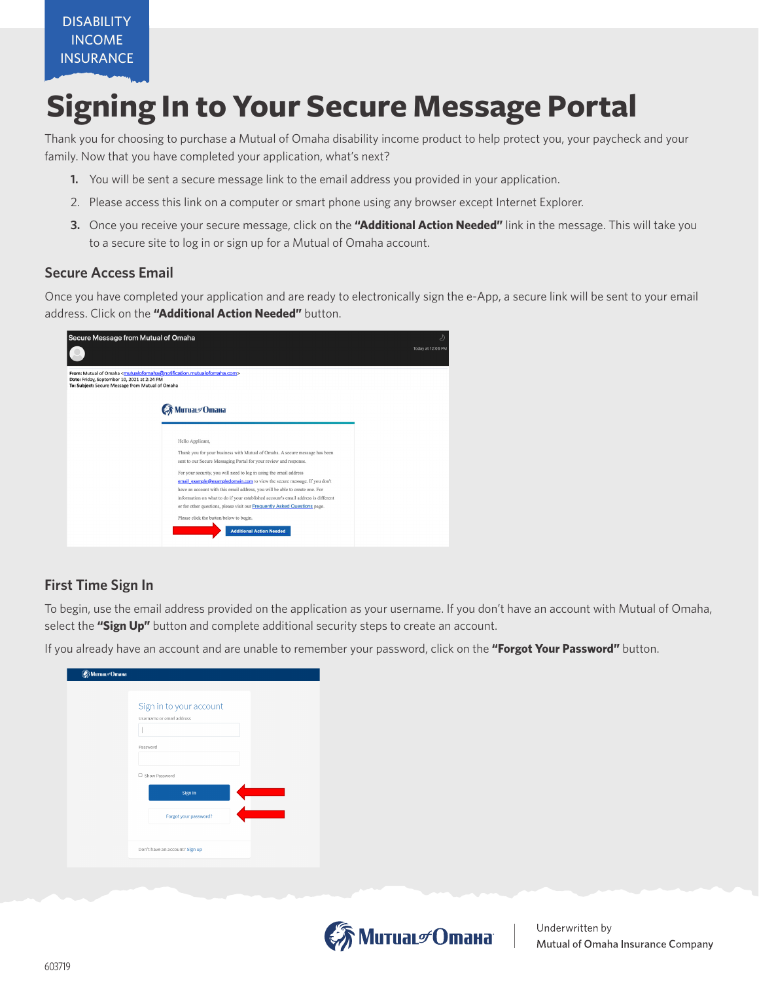## **Signing In to Your Secure Message Portal**

Thank you for choosing to purchase a Mutual of Omaha disability income product to help protect you, your paycheck and your family. Now that you have completed your application, what's next?

- **1.** You will be sent a secure message link to the email address you provided in your application.
- 2. Please access this link on a computer or smart phone using any browser except Internet Explorer.
- **3.** Once you receive your secure message, click on the **"Additional Action Needed"** link in the message. This will take you to a secure site to log in or sign up for a Mutual of Omaha account.

## **Secure Access Email**

Once you have completed your application and are ready to electronically sign the e-App, a secure link will be sent to your email address. Click on the **"Additional Action Needed"** button.

| Secure Message from Mutual of Omaha                                                                                                                                                                                      |                                                                                                                                                                                                                                                                                                                                                                                                                                                                                                                                                                                                                                                                                                | D<br>Today at 12:06 PM |
|--------------------------------------------------------------------------------------------------------------------------------------------------------------------------------------------------------------------------|------------------------------------------------------------------------------------------------------------------------------------------------------------------------------------------------------------------------------------------------------------------------------------------------------------------------------------------------------------------------------------------------------------------------------------------------------------------------------------------------------------------------------------------------------------------------------------------------------------------------------------------------------------------------------------------------|------------------------|
| From: Mutual of Omaha <mutualofomaha@notification.mutualofomaha.com><br/>Date: Friday, September 10, 2021 at 2:24 PM<br/>To: Subject: Secure Message from Mutual of Omaha</mutualofomaha@notification.mutualofomaha.com> |                                                                                                                                                                                                                                                                                                                                                                                                                                                                                                                                                                                                                                                                                                |                        |
|                                                                                                                                                                                                                          | <b>€</b> Murual <sup>or</sup> Отана<br>Hello Applicant,<br>Thank you for your business with Mutual of Omaha. A secure message has been<br>sent to our Secure Messaging Portal for your review and response.<br>For your security, you will need to log in using the email address<br>email example@exampledomain.com to view the secure message. If you don't<br>have an account with this email address, you will be able to create one. For<br>information on what to do if your established account's email address is different<br>or for other questions, please visit our Frequently Asked Questions page.<br>Please click the button below to begin.<br><b>Additional Action Needed</b> |                        |

## **First Time Sign In**

To begin, use the email address provided on the application as your username. If you don't have an account with Mutual of Omaha, select the **"Sign Up"** button and complete additional security steps to create an account.

If you already have an account and are unable to remember your password, click on the **"Forgot Your Password"** button.

| <b>Murual</b> Omana |                                                                  |
|---------------------|------------------------------------------------------------------|
|                     | Sign in to your account<br>Username or email address<br>Password |
|                     | C Show Password<br>Sign in                                       |
|                     | Forgot your password?<br>Don't have an account? Sign up          |

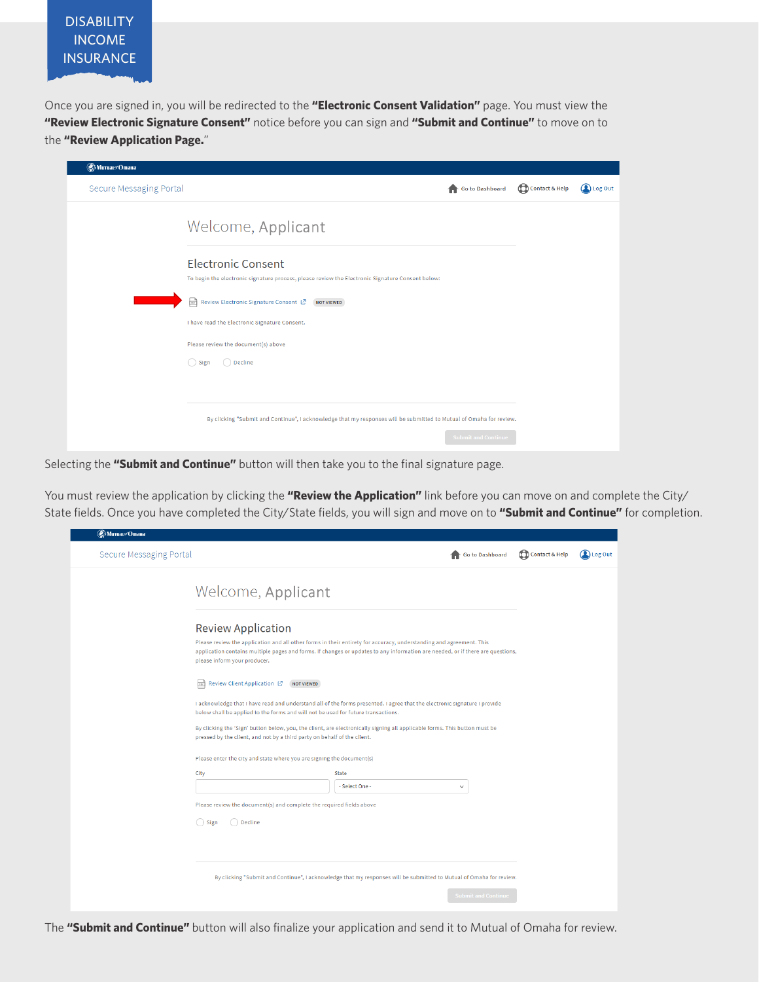## **DISABILITY** INCOME INSURANCE

Once you are signed in, you will be redirected to the **"Electronic Consent Validation"** page. You must view the **"Review Electronic Signature Consent"** notice before you can sign and **"Submit and Continue"** to move on to the **"Review Application Page.**"

| <b>⊘ Muruat</b> Omana          |                                                                                                                               |                            |                |                  |
|--------------------------------|-------------------------------------------------------------------------------------------------------------------------------|----------------------------|----------------|------------------|
| <b>Secure Messaging Portal</b> |                                                                                                                               | <b>Go to Dashboard</b>     | Contact & Help | <b>Q</b> Log Out |
|                                | Welcome, Applicant                                                                                                            |                            |                |                  |
|                                | <b>Electronic Consent</b><br>To begin the electronic signature process, please review the Electronic Signature Consent below: |                            |                |                  |
|                                | Review Electronic Signature Consent [Z] NOT VIEWED<br>$\overline{r}$                                                          |                            |                |                  |
|                                | I have read the Electronic Signature Consent.                                                                                 |                            |                |                  |
|                                | Please review the document(s) above                                                                                           |                            |                |                  |
|                                | ◯ Decline<br>$\bigcirc$ Sign                                                                                                  |                            |                |                  |
|                                |                                                                                                                               |                            |                |                  |
|                                | By clicking "Submit and Continue", I acknowledge that my responses will be submitted to Mutual of Omaha for review.           |                            |                |                  |
|                                |                                                                                                                               | <b>Submit and Continue</b> |                |                  |

Selecting the **"Submit and Continue"** button will then take you to the final signature page.

You must review the application by clicking the **"Review the Application"** link before you can move on and complete the City/ State fields. Once you have completed the City/State fields, you will sign and move on to **"Submit and Continue"** for completion.

| ⊛ Muruat <sup>o</sup> Отана    |                                                                                                                                                                                                                                                                                                                    |                                                                                                                     |                            |                |         |  |
|--------------------------------|--------------------------------------------------------------------------------------------------------------------------------------------------------------------------------------------------------------------------------------------------------------------------------------------------------------------|---------------------------------------------------------------------------------------------------------------------|----------------------------|----------------|---------|--|
| <b>Secure Messaging Portal</b> |                                                                                                                                                                                                                                                                                                                    |                                                                                                                     | <b>Go to Dashboard</b>     | Contact & Help | Log Out |  |
|                                | Welcome, Applicant                                                                                                                                                                                                                                                                                                 |                                                                                                                     |                            |                |         |  |
|                                | <b>Review Application</b><br>Please review the application and all other forms in their entirety for accuracy, understanding and agreement. This<br>application contains multiple pages and forms. If changes or updates to any information are needed, or if there are questions,<br>please inform your producer. |                                                                                                                     |                            |                |         |  |
|                                | $\frac{1}{207}$<br>Review Client Application [2]<br><b>NOT VIEWED</b><br>I acknowledge that I have read and understand all of the forms presented. I agree that the electronic signature I provide<br>below shall be applied to the forms and will not be used for future transactions.                            |                                                                                                                     |                            |                |         |  |
|                                | By clicking the 'Sign' button below, you, the client, are electronically signing all applicable forms. This button must be<br>pressed by the client, and not by a third party on behalf of the client.                                                                                                             |                                                                                                                     |                            |                |         |  |
|                                | Please enter the city and state where you are signing the document(s)                                                                                                                                                                                                                                              |                                                                                                                     |                            |                |         |  |
|                                | City                                                                                                                                                                                                                                                                                                               | <b>State</b>                                                                                                        |                            |                |         |  |
|                                |                                                                                                                                                                                                                                                                                                                    | - Select One -                                                                                                      | $\checkmark$               |                |         |  |
|                                | Please review the document(s) and complete the required fields above                                                                                                                                                                                                                                               |                                                                                                                     |                            |                |         |  |
|                                | Decline<br>Sign                                                                                                                                                                                                                                                                                                    |                                                                                                                     |                            |                |         |  |
|                                |                                                                                                                                                                                                                                                                                                                    |                                                                                                                     |                            |                |         |  |
|                                |                                                                                                                                                                                                                                                                                                                    |                                                                                                                     |                            |                |         |  |
|                                |                                                                                                                                                                                                                                                                                                                    |                                                                                                                     |                            |                |         |  |
|                                |                                                                                                                                                                                                                                                                                                                    | By clicking "Submit and Continue", I acknowledge that my responses will be submitted to Mutual of Omaha for review. |                            |                |         |  |
|                                |                                                                                                                                                                                                                                                                                                                    |                                                                                                                     | <b>Submit and Continue</b> |                |         |  |

The **"Submit and Continue"** button will also finalize your application and send it to Mutual of Omaha for review.